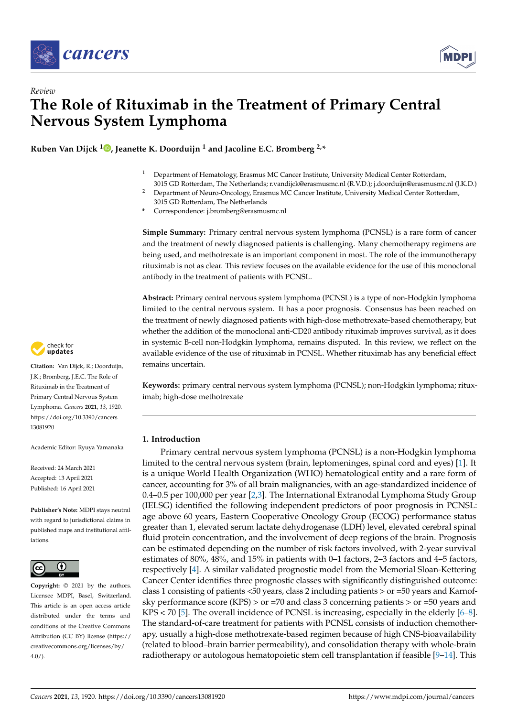



# *Review* **The Role of Rituximab in the Treatment of Primary Central Nervous System Lymphoma**

**Ruben Van Dijck [1](https://orcid.org/0000-0003-4748-7648) , Jeanette K. Doorduijn <sup>1</sup> and Jacoline E.C. Bromberg 2,\***

- <sup>1</sup> Department of Hematology, Erasmus MC Cancer Institute, University Medical Center Rotterdam,
- 3015 GD Rotterdam, The Netherlands; r.vandijck@erasmusmc.nl (R.V.D.); j.doorduijn@erasmusmc.nl (J.K.D.) <sup>2</sup> Department of Neuro-Oncology, Erasmus MC Cancer Institute, University Medical Center Rotterdam,
- 3015 GD Rotterdam, The Netherlands **\*** Correspondence: j.bromberg@erasmusmc.nl

**Simple Summary:** Primary central nervous system lymphoma (PCNSL) is a rare form of cancer and the treatment of newly diagnosed patients is challenging. Many chemotherapy regimens are being used, and methotrexate is an important component in most. The role of the immunotherapy rituximab is not as clear. This review focuses on the available evidence for the use of this monoclonal antibody in the treatment of patients with PCNSL.

**Abstract:** Primary central nervous system lymphoma (PCNSL) is a type of non-Hodgkin lymphoma limited to the central nervous system. It has a poor prognosis. Consensus has been reached on the treatment of newly diagnosed patients with high-dose methotrexate-based chemotherapy, but whether the addition of the monoclonal anti-CD20 antibody rituximab improves survival, as it does in systemic B-cell non-Hodgkin lymphoma, remains disputed. In this review, we reflect on the available evidence of the use of rituximab in PCNSL. Whether rituximab has any beneficial effect remains uncertain.

**Keywords:** primary central nervous system lymphoma (PCNSL); non-Hodgkin lymphoma; rituximab; high-dose methotrexate

## **1. Introduction**

Primary central nervous system lymphoma (PCNSL) is a non-Hodgkin lymphoma limited to the central nervous system (brain, leptomeninges, spinal cord and eyes) [\[1\]](#page-6-0). It is a unique World Health Organization (WHO) hematological entity and a rare form of cancer, accounting for 3% of all brain malignancies, with an age-standardized incidence of 0.4–0.5 per 100,000 per year [\[2,](#page-6-1)[3\]](#page-7-0). The International Extranodal Lymphoma Study Group (IELSG) identified the following independent predictors of poor prognosis in PCNSL: age above 60 years, Eastern Cooperative Oncology Group (ECOG) performance status greater than 1, elevated serum lactate dehydrogenase (LDH) level, elevated cerebral spinal fluid protein concentration, and the involvement of deep regions of the brain. Prognosis can be estimated depending on the number of risk factors involved, with 2-year survival estimates of 80%, 48%, and 15% in patients with 0–1 factors, 2–3 factors and 4–5 factors, respectively [\[4\]](#page-7-1). A similar validated prognostic model from the Memorial Sloan-Kettering Cancer Center identifies three prognostic classes with significantly distinguished outcome: class 1 consisting of patients <50 years, class 2 including patients > or =50 years and Karnofsky performance score (KPS) > or =70 and class 3 concerning patients > or =50 years and KPS < 70 [\[5\]](#page-7-2). The overall incidence of PCNSL is increasing, especially in the elderly [\[6](#page-7-3)[–8\]](#page-7-4). The standard-of-care treatment for patients with PCNSL consists of induction chemotherapy, usually a high-dose methotrexate-based regimen because of high CNS-bioavailability (related to blood–brain barrier permeability), and consolidation therapy with whole-brain radiotherapy or autologous hematopoietic stem cell transplantation if feasible [\[9–](#page-7-5)[14\]](#page-7-6). This



**Citation:** Van Dijck, R.; Doorduijn, J.K.; Bromberg, J.E.C. The Role of Rituximab in the Treatment of Primary Central Nervous System Lymphoma. *Cancers* **2021**, *13*, 1920. [https://doi.org/10.3390/cancers](https://doi.org/10.3390/cancers13081920) [13081920](https://doi.org/10.3390/cancers13081920)

Academic Editor: Ryuya Yamanaka

Received: 24 March 2021 Accepted: 13 April 2021 Published: 16 April 2021

**Publisher's Note:** MDPI stays neutral with regard to jurisdictional claims in published maps and institutional affiliations.



**Copyright:** © 2021 by the authors. Licensee MDPI, Basel, Switzerland. This article is an open access article distributed under the terms and conditions of the Creative Commons Attribution (CC BY) license (https:/[/](https://creativecommons.org/licenses/by/4.0/) [creativecommons.org/licenses/by/](https://creativecommons.org/licenses/by/4.0/)  $4.0/$ ).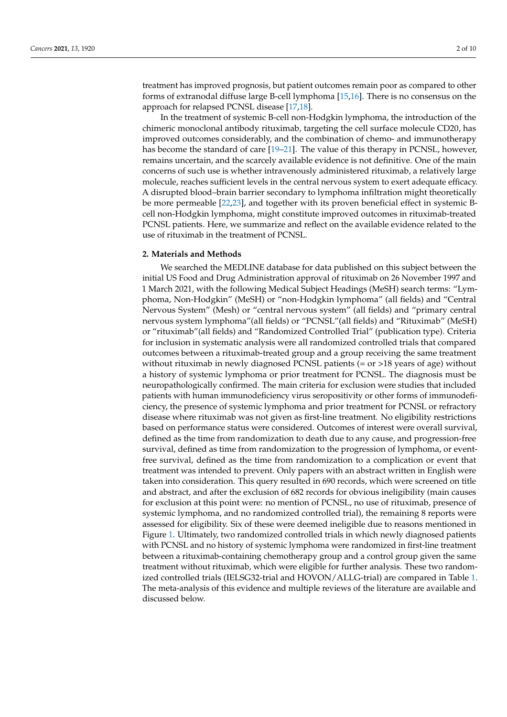treatment has improved prognosis, but patient outcomes remain poor as compared to other forms of extranodal diffuse large B-cell lymphoma [\[15,](#page-7-7)[16\]](#page-7-8). There is no consensus on the approach for relapsed PCNSL disease [\[17,](#page-7-9)[18\]](#page-7-10).

In the treatment of systemic B-cell non-Hodgkin lymphoma, the introduction of the chimeric monoclonal antibody rituximab, targeting the cell surface molecule CD20, has improved outcomes considerably, and the combination of chemo- and immunotherapy has become the standard of care [\[19](#page-7-11)[–21\]](#page-7-12). The value of this therapy in PCNSL, however, remains uncertain, and the scarcely available evidence is not definitive. One of the main concerns of such use is whether intravenously administered rituximab, a relatively large molecule, reaches sufficient levels in the central nervous system to exert adequate efficacy. A disrupted blood–brain barrier secondary to lymphoma infiltration might theoretically be more permeable [\[22,](#page-7-13)[23\]](#page-7-14), and together with its proven beneficial effect in systemic Bcell non-Hodgkin lymphoma, might constitute improved outcomes in rituximab-treated PCNSL patients. Here, we summarize and reflect on the available evidence related to the use of rituximab in the treatment of PCNSL.

#### **2. Materials and Methods**

We searched the MEDLINE database for data published on this subject between the initial US Food and Drug Administration approval of rituximab on 26 November 1997 and 1 March 2021, with the following Medical Subject Headings (MeSH) search terms: "Lymphoma, Non-Hodgkin" (MeSH) or "non-Hodgkin lymphoma" (all fields) and "Central Nervous System" (Mesh) or "central nervous system" (all fields) and "primary central nervous system lymphoma"(all fields) or "PCNSL"(all fields) and "Rituximab" (MeSH) or "rituximab"(all fields) and "Randomized Controlled Trial" (publication type). Criteria for inclusion in systematic analysis were all randomized controlled trials that compared outcomes between a rituximab-treated group and a group receiving the same treatment without rituximab in newly diagnosed PCNSL patients (= or >18 years of age) without a history of systemic lymphoma or prior treatment for PCNSL. The diagnosis must be neuropathologically confirmed. The main criteria for exclusion were studies that included patients with human immunodeficiency virus seropositivity or other forms of immunodeficiency, the presence of systemic lymphoma and prior treatment for PCNSL or refractory disease where rituximab was not given as first-line treatment. No eligibility restrictions based on performance status were considered. Outcomes of interest were overall survival, defined as the time from randomization to death due to any cause, and progression-free survival, defined as time from randomization to the progression of lymphoma, or eventfree survival, defined as the time from randomization to a complication or event that treatment was intended to prevent. Only papers with an abstract written in English were taken into consideration. This query resulted in 690 records, which were screened on title and abstract, and after the exclusion of 682 records for obvious ineligibility (main causes for exclusion at this point were: no mention of PCNSL, no use of rituximab, presence of systemic lymphoma, and no randomized controlled trial), the remaining 8 reports were assessed for eligibility. Six of these were deemed ineligible due to reasons mentioned in Figure [1.](#page-2-0) Ultimately, two randomized controlled trials in which newly diagnosed patients with PCNSL and no history of systemic lymphoma were randomized in first-line treatment between a rituximab-containing chemotherapy group and a control group given the same treatment without rituximab, which were eligible for further analysis. These two randomized controlled trials (IELSG32-trial and HOVON/ALLG-trial) are compared in Table [1.](#page-2-1) The meta-analysis of this evidence and multiple reviews of the literature are available and discussed below.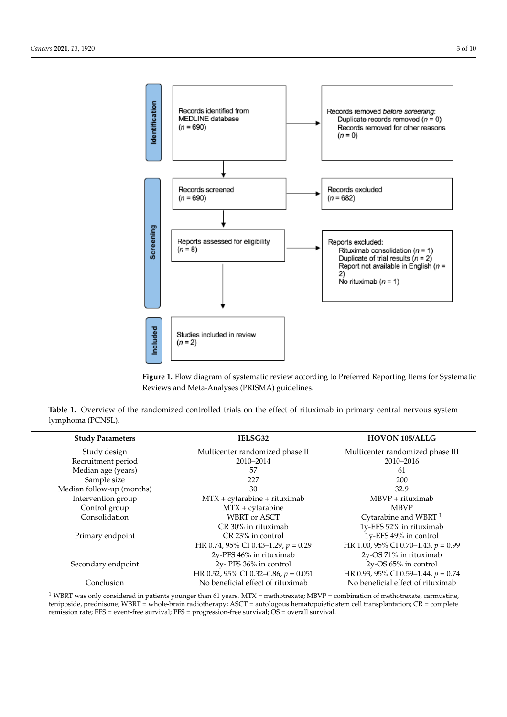<span id="page-2-0"></span>

Reviews and Meta-Analyses (PRISMA) guidelines. **Figure 1.** Flow diagram of systematic review according to Preferred Reporting Items for Systematic

<span id="page-2-1"></span>**Table 1.** Overview of the randomized controlled trials on the effect of rituximab in primary central **Table 1.** Overview of the randomized controlled trials on the effect of rituximab in primary central nervous system lymphoma (PCNSL).

| <b>Study Parameters</b>   | IELSG32                                | <b>HOVON 105/ALLG</b>                 |
|---------------------------|----------------------------------------|---------------------------------------|
| Study design              | Multicenter randomized phase II        | Multicenter randomized phase III      |
| Recruitment period        | 2010-2014                              | 2010-2016                             |
| Median age (years)        | 57                                     | 61                                    |
| Sample size               | 227                                    | 200                                   |
| Median follow-up (months) | 30                                     | 32.9                                  |
| Intervention group        | $MTX + cytarabine + rituximab$         | $MBVP + rituximab$                    |
| Control group             | $MTX + cytarabine$                     | <b>MBVP</b>                           |
| Consolidation             | <b>WBRT</b> or ASCT                    | Cytarabine and WBRT $1$               |
|                           | CR 30% in rituximab                    | 1y-EFS 52% in rituximab               |
| Primary endpoint          | CR 23% in control                      | 1y-EFS 49% in control                 |
|                           | HR 0.74, 95% CI 0.43-1.29, $p = 0.29$  | HR 1.00, 95% CI 0.70-1.43, $p = 0.99$ |
|                           | 2y-PFS 46% in rituximab                | 2y-OS 71% in rituximab                |
| Secondary endpoint        | 2y-PFS 36% in control                  | 2y-OS 65% in control                  |
|                           | HR 0.52, 95% CI 0.32–0.86, $p = 0.051$ | HR 0.93, 95% CI 0.59-1.44, $p = 0.74$ |
| Conclusion                | No beneficial effect of rituximab      | No beneficial effect of rituximab     |

HR O.52, 95% CONSIDERED TO CONSIDER THE OCCUPATION OF CONSIDERATION CONSIDERED IN THE OCCUPATION OF THE ORDER OF THE ORDER OF THE ORDER OF THE ORDER OF THE ORDER OF THE ORDER OF THE ORDER OF THE ORDER OF THE ORDER OF THE O remission rate; EFS = event-free survival; PFS = progression-free survival; OS = overall survival. teniposide, prednisone; WBRT = whole-brain radiotherapy; ASCT = autologous hematopoietic stem cell transplantation; CR = complete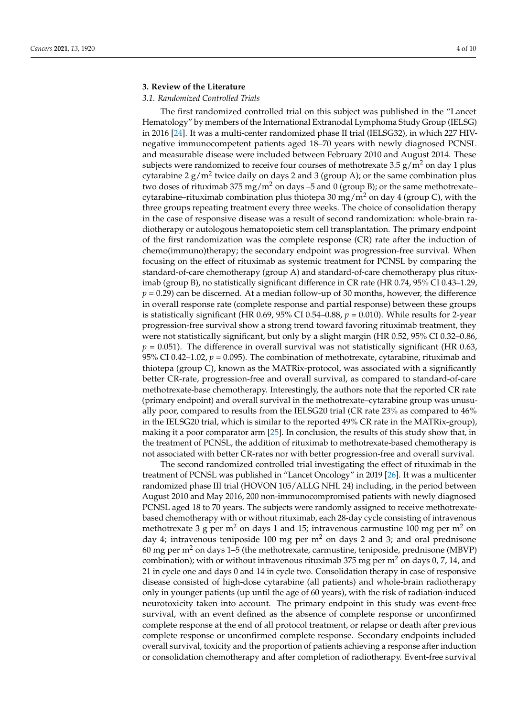### **3. Review of the Literature**

#### *3.1. Randomized Controlled Trials*

The first randomized controlled trial on this subject was published in the "Lancet Hematology" by members of the International Extranodal Lymphoma Study Group (IELSG) in 2016 [\[24\]](#page-8-0). It was a multi-center randomized phase II trial (IELSG32), in which 227 HIVnegative immunocompetent patients aged 18–70 years with newly diagnosed PCNSL and measurable disease were included between February 2010 and August 2014. These subjects were randomized to receive four courses of methotrexate 3.5  $g/m^2$  on day 1 plus cytarabine 2 g/m<sup>2</sup> twice daily on days 2 and 3 (group A); or the same combination plus two doses of rituximab 375 mg/m<sup>2</sup> on days –5 and 0 (group B); or the same methotrexate– cytarabine–rituximab combination plus thiotepa 30 mg/m<sup>2</sup> on day 4 (group C), with the three groups repeating treatment every three weeks. The choice of consolidation therapy in the case of responsive disease was a result of second randomization: whole-brain radiotherapy or autologous hematopoietic stem cell transplantation. The primary endpoint of the first randomization was the complete response (CR) rate after the induction of chemo(immuno)therapy; the secondary endpoint was progression-free survival. When focusing on the effect of rituximab as systemic treatment for PCNSL by comparing the standard-of-care chemotherapy (group A) and standard-of-care chemotherapy plus rituximab (group B), no statistically significant difference in CR rate (HR 0.74, 95% CI 0.43–1.29,  $p = 0.29$  can be discerned. At a median follow-up of 30 months, however, the difference in overall response rate (complete response and partial response) between these groups is statistically significant (HR 0.69, 95% CI 0.54–0.88, *p* = 0.010). While results for 2-year progression-free survival show a strong trend toward favoring rituximab treatment, they were not statistically significant, but only by a slight margin (HR 0.52, 95% CI 0.32–0.86,  $p = 0.051$ ). The difference in overall survival was not statistically significant (HR 0.63, 95% CI 0.42–1.02,  $p = 0.095$ ). The combination of methotrexate, cytarabine, rituximab and thiotepa (group C), known as the MATRix-protocol, was associated with a significantly better CR-rate, progression-free and overall survival, as compared to standard-of-care methotrexate-base chemotherapy. Interestingly, the authors note that the reported CR rate (primary endpoint) and overall survival in the methotrexate–cytarabine group was unusually poor, compared to results from the IELSG20 trial (CR rate 23% as compared to 46% in the IELSG20 trial, which is similar to the reported 49% CR rate in the MATRix-group), making it a poor comparator arm [\[25\]](#page-8-1). In conclusion, the results of this study show that, in the treatment of PCNSL, the addition of rituximab to methotrexate-based chemotherapy is not associated with better CR-rates nor with better progression-free and overall survival.

The second randomized controlled trial investigating the effect of rituximab in the treatment of PCNSL was published in "Lancet Oncology" in 2019 [\[26\]](#page-8-2). It was a multicenter randomized phase III trial (HOVON 105/ALLG NHL 24) including, in the period between August 2010 and May 2016, 200 non-immunocompromised patients with newly diagnosed PCNSL aged 18 to 70 years. The subjects were randomly assigned to receive methotrexatebased chemotherapy with or without rituximab, each 28-day cycle consisting of intravenous methotrexate 3 g per m<sup>2</sup> on days 1 and 15; intravenous carmustine 100 mg per m<sup>2</sup> on day 4; intravenous teniposide 100 mg per  $m<sup>2</sup>$  on days 2 and 3; and oral prednisone 60 mg per m<sup>2</sup> on days 1–5 (the methotrexate, carmustine, teniposide, prednisone (MBVP) combination); with or without intravenous rituximab 375 mg per  $m<sup>2</sup>$  on days 0, 7, 14, and 21 in cycle one and days 0 and 14 in cycle two. Consolidation therapy in case of responsive disease consisted of high-dose cytarabine (all patients) and whole-brain radiotherapy only in younger patients (up until the age of 60 years), with the risk of radiation-induced neurotoxicity taken into account. The primary endpoint in this study was event-free survival, with an event defined as the absence of complete response or unconfirmed complete response at the end of all protocol treatment, or relapse or death after previous complete response or unconfirmed complete response. Secondary endpoints included overall survival, toxicity and the proportion of patients achieving a response after induction or consolidation chemotherapy and after completion of radiotherapy. Event-free survival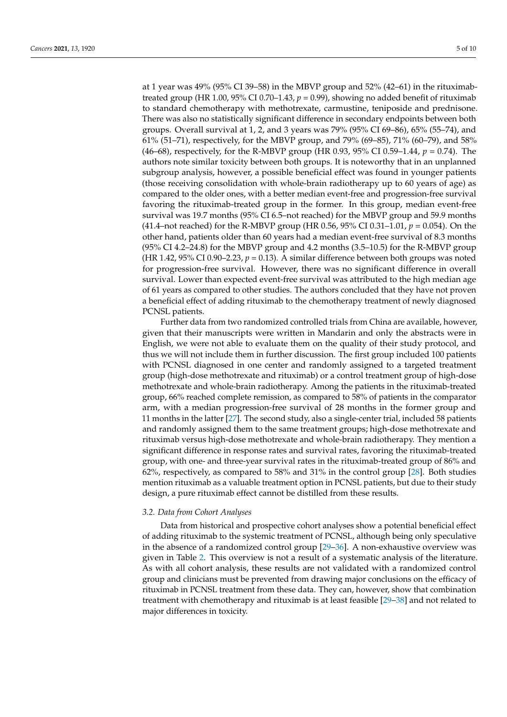at 1 year was 49% (95% CI 39–58) in the MBVP group and 52% (42–61) in the rituximabtreated group (HR 1.00, 95% CI 0.70–1.43,  $p = 0.99$ ), showing no added benefit of rituximab to standard chemotherapy with methotrexate, carmustine, teniposide and prednisone. There was also no statistically significant difference in secondary endpoints between both groups. Overall survival at 1, 2, and 3 years was 79% (95% CI 69–86), 65% (55–74), and 61% (51–71), respectively, for the MBVP group, and 79% (69–85), 71% (60–79), and 58% (46–68), respectively, for the R-MBVP group (HR 0.93, 95% CI 0.59–1.44, *p* = 0.74). The authors note similar toxicity between both groups. It is noteworthy that in an unplanned subgroup analysis, however, a possible beneficial effect was found in younger patients (those receiving consolidation with whole-brain radiotherapy up to 60 years of age) as compared to the older ones, with a better median event-free and progression-free survival favoring the rituximab-treated group in the former. In this group, median event-free survival was 19.7 months (95% CI 6.5–not reached) for the MBVP group and 59.9 months (41.4–not reached) for the R-MBVP group (HR 0.56, 95% CI 0.31–1.01, *p* = 0.054). On the other hand, patients older than 60 years had a median event-free survival of 8.3 months (95% CI 4.2–24.8) for the MBVP group and 4.2 months (3.5–10.5) for the R-MBVP group (HR 1.42,  $95\%$  CI 0.90–2.23,  $p = 0.13$ ). A similar difference between both groups was noted for progression-free survival. However, there was no significant difference in overall survival. Lower than expected event-free survival was attributed to the high median age of 61 years as compared to other studies. The authors concluded that they have not proven a beneficial effect of adding rituximab to the chemotherapy treatment of newly diagnosed PCNSL patients.

Further data from two randomized controlled trials from China are available, however, given that their manuscripts were written in Mandarin and only the abstracts were in English, we were not able to evaluate them on the quality of their study protocol, and thus we will not include them in further discussion. The first group included 100 patients with PCNSL diagnosed in one center and randomly assigned to a targeted treatment group (high-dose methotrexate and rituximab) or a control treatment group of high-dose methotrexate and whole-brain radiotherapy. Among the patients in the rituximab-treated group, 66% reached complete remission, as compared to 58% of patients in the comparator arm, with a median progression-free survival of 28 months in the former group and 11 months in the latter [\[27\]](#page-8-3). The second study, also a single-center trial, included 58 patients and randomly assigned them to the same treatment groups; high-dose methotrexate and rituximab versus high-dose methotrexate and whole-brain radiotherapy. They mention a significant difference in response rates and survival rates, favoring the rituximab-treated group, with one- and three-year survival rates in the rituximab-treated group of 86% and 62%, respectively, as compared to 58% and 31% in the control group [\[28\]](#page-8-4). Both studies mention rituximab as a valuable treatment option in PCNSL patients, but due to their study design, a pure rituximab effect cannot be distilled from these results.

#### *3.2. Data from Cohort Analyses*

Data from historical and prospective cohort analyses show a potential beneficial effect of adding rituximab to the systemic treatment of PCNSL, although being only speculative in the absence of a randomized control group [\[29–](#page-8-5)[36\]](#page-8-6). A non-exhaustive overview was given in Table [2.](#page-5-0) This overview is not a result of a systematic analysis of the literature. As with all cohort analysis, these results are not validated with a randomized control group and clinicians must be prevented from drawing major conclusions on the efficacy of rituximab in PCNSL treatment from these data. They can, however, show that combination treatment with chemotherapy and rituximab is at least feasible [\[29](#page-8-5)[–38\]](#page-8-7) and not related to major differences in toxicity.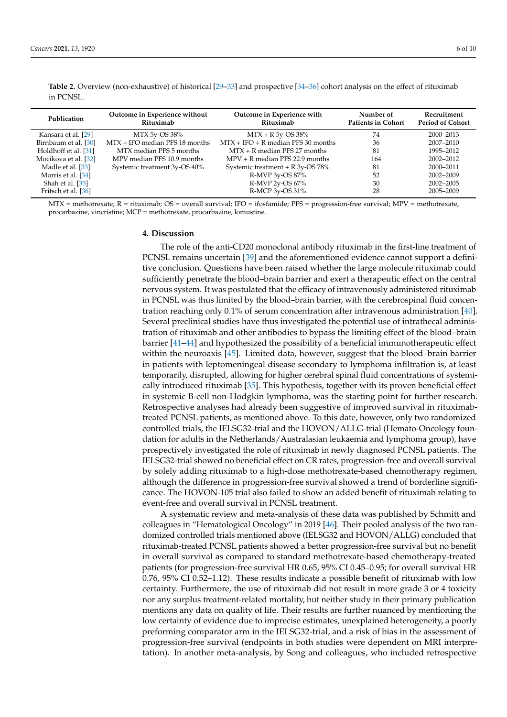| III FUNDL.           |                                            |                                         |                                        |                                        |
|----------------------|--------------------------------------------|-----------------------------------------|----------------------------------------|----------------------------------------|
| Publication          | Outcome in Experience without<br>Rituximab | Outcome in Experience with<br>Rituximab | Number of<br><b>Patients in Cohort</b> | Recruitment<br><b>Period of Cohort</b> |
| Kansara et al. [29]  | MTX 5y-OS 38%                              | $MTX + R 5y-OS 38%$                     | 74                                     | 2000–2013                              |
| Birnbaum et al. [30] | MTX + IFO median PFS 18 months             | $MTX + IFO + R$ median PFS 30 months    | 36                                     | 2007-2010                              |
| Holdhoff et al. [31] | MTX median PFS 5 months                    | $MTX + R$ median PFS 27 months          | 81                                     | 1995–2012                              |
| Mocikova et al. [32] | MPV median PFS 10.9 months                 | $MPV + R$ median PFS 22.9 months        | 164                                    | 2002–2012                              |

 $R-MCP 3y-OS 31%$ 

<span id="page-5-0"></span>**Table 2.** Overview (non-exhaustive) of historical [\[29](#page-8-5)[–33\]](#page-8-8) and prospective [\[34](#page-8-9)[–36\]](#page-8-6) cohort analysis on the effect of rituximab in PCNSL.

MTX = methotrexate; R = rituximab; OS = overall survival; IFO = ifosfamide; PFS = progression-free survival; MPV = methotrexate, procarbazine, vincristine; MCP = methotrexate, procarbazine, lomustine.

Madle et al. [\[33\]](#page-8-8) Systemic treatment 3y-OS 40% Systemic treatment + R 3y-OS 78% 81 2000–2011<br>Morris et al. [34] 82002–2009 Morris et al. [\[34\]](#page-8-9) **1989 12:00 12:00 12:00 12:00 12:00 12:00 12:00 12:00 12:00 12:00 12:00 12:00 12:00 12:00 1**<br>Shah et al. [35] Shah et al. [35] **12:00 12:00 12:00 12:00 12:00 12:00 12:00 12:00 12:00 12:00 12:00 12:00 12:** Shah et al. [\[35\]](#page-8-13) Shah et al. [35] 2002–2005<br>
Fritsch et al. [36] Shah et al. [36] Shah et al. [36] Shah et al. [36] Shah et al. [36] Shah et al. [36] Shah et al. [36] Shah et al. [36] Shah et al. [36] Shah et al. [36] Shah

#### **4. Discussion**

The role of the anti-CD20 monoclonal antibody rituximab in the first-line treatment of PCNSL remains uncertain [\[39\]](#page-8-14) and the aforementioned evidence cannot support a definitive conclusion. Questions have been raised whether the large molecule rituximab could sufficiently penetrate the blood–brain barrier and exert a therapeutic effect on the central nervous system. It was postulated that the efficacy of intravenously administered rituximab in PCNSL was thus limited by the blood–brain barrier, with the cerebrospinal fluid concentration reaching only 0.1% of serum concentration after intravenous administration [\[40\]](#page-8-15). Several preclinical studies have thus investigated the potential use of intrathecal administration of rituximab and other antibodies to bypass the limiting effect of the blood–brain barrier [\[41](#page-8-16)[–44\]](#page-8-17) and hypothesized the possibility of a beneficial immunotherapeutic effect within the neuroaxis [\[45\]](#page-9-0). Limited data, however, suggest that the blood–brain barrier in patients with leptomeningeal disease secondary to lymphoma infiltration is, at least temporarily, disrupted, allowing for higher cerebral spinal fluid concentrations of systemically introduced rituximab [\[35\]](#page-8-13). This hypothesis, together with its proven beneficial effect in systemic B-cell non-Hodgkin lymphoma, was the starting point for further research. Retrospective analyses had already been suggestive of improved survival in rituximabtreated PCNSL patients, as mentioned above. To this date, however, only two randomized controlled trials, the IELSG32-trial and the HOVON/ALLG-trial (Hemato-Oncology foundation for adults in the Netherlands/Australasian leukaemia and lymphoma group), have prospectively investigated the role of rituximab in newly diagnosed PCNSL patients. The IELSG32-trial showed no beneficial effect on CR rates, progression-free and overall survival by solely adding rituximab to a high-dose methotrexate-based chemotherapy regimen, although the difference in progression-free survival showed a trend of borderline significance. The HOVON-105 trial also failed to show an added benefit of rituximab relating to event-free and overall survival in PCNSL treatment.

A systematic review and meta-analysis of these data was published by Schmitt and colleagues in "Hematological Oncology" in 2019 [\[46\]](#page-9-1). Their pooled analysis of the two randomized controlled trials mentioned above (IELSG32 and HOVON/ALLG) concluded that rituximab-treated PCNSL patients showed a better progression-free survival but no benefit in overall survival as compared to standard methotrexate-based chemotherapy-treated patients (for progression-free survival HR 0.65, 95% CI 0.45–0.95; for overall survival HR 0.76, 95% CI 0.52–1.12). These results indicate a possible benefit of rituximab with low certainty. Furthermore, the use of rituximab did not result in more grade 3 or 4 toxicity nor any surplus treatment-related mortality, but neither study in their primary publication mentions any data on quality of life. Their results are further nuanced by mentioning the low certainty of evidence due to imprecise estimates, unexplained heterogeneity, a poorly preforming comparator arm in the IELSG32-trial, and a risk of bias in the assessment of progression-free survival (endpoints in both studies were dependent on MRI interpretation). In another meta-analysis, by Song and colleagues, who included retrospective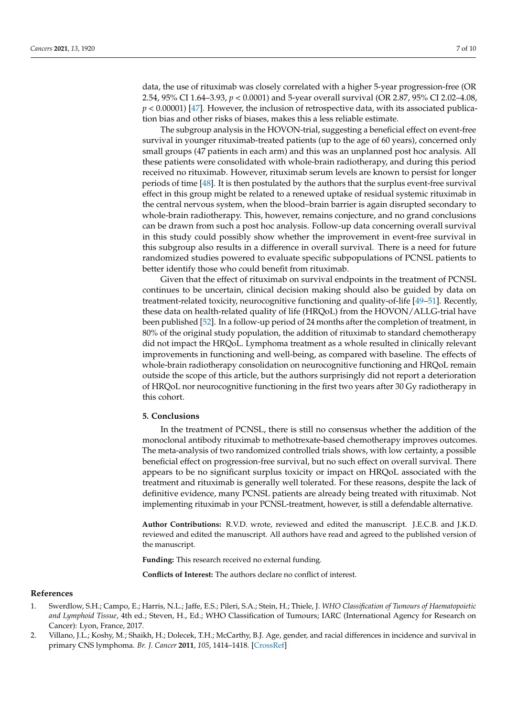data, the use of rituximab was closely correlated with a higher 5-year progression-free (OR 2.54, 95% CI 1.64–3.93, *p* < 0.0001) and 5-year overall survival (OR 2.87, 95% CI 2.02–4.08, *p* < 0.00001) [\[47\]](#page-9-2). However, the inclusion of retrospective data, with its associated publication bias and other risks of biases, makes this a less reliable estimate.

The subgroup analysis in the HOVON-trial, suggesting a beneficial effect on event-free survival in younger rituximab-treated patients (up to the age of 60 years), concerned only small groups (47 patients in each arm) and this was an unplanned post hoc analysis. All these patients were consolidated with whole-brain radiotherapy, and during this period received no rituximab. However, rituximab serum levels are known to persist for longer periods of time [\[48\]](#page-9-3). It is then postulated by the authors that the surplus event-free survival effect in this group might be related to a renewed uptake of residual systemic rituximab in the central nervous system, when the blood–brain barrier is again disrupted secondary to whole-brain radiotherapy. This, however, remains conjecture, and no grand conclusions can be drawn from such a post hoc analysis. Follow-up data concerning overall survival in this study could possibly show whether the improvement in event-free survival in this subgroup also results in a difference in overall survival. There is a need for future randomized studies powered to evaluate specific subpopulations of PCNSL patients to better identify those who could benefit from rituximab.

Given that the effect of rituximab on survival endpoints in the treatment of PCNSL continues to be uncertain, clinical decision making should also be guided by data on treatment-related toxicity, neurocognitive functioning and quality-of-life [\[49–](#page-9-4)[51\]](#page-9-5). Recently, these data on health-related quality of life (HRQoL) from the HOVON/ALLG-trial have been published [\[52\]](#page-9-6). In a follow-up period of 24 months after the completion of treatment, in 80% of the original study population, the addition of rituximab to standard chemotherapy did not impact the HRQoL. Lymphoma treatment as a whole resulted in clinically relevant improvements in functioning and well-being, as compared with baseline. The effects of whole-brain radiotherapy consolidation on neurocognitive functioning and HRQoL remain outside the scope of this article, but the authors surprisingly did not report a deterioration of HRQoL nor neurocognitive functioning in the first two years after 30 Gy radiotherapy in this cohort.

### **5. Conclusions**

In the treatment of PCNSL, there is still no consensus whether the addition of the monoclonal antibody rituximab to methotrexate-based chemotherapy improves outcomes. The meta-analysis of two randomized controlled trials shows, with low certainty, a possible beneficial effect on progression-free survival, but no such effect on overall survival. There appears to be no significant surplus toxicity or impact on HRQoL associated with the treatment and rituximab is generally well tolerated. For these reasons, despite the lack of definitive evidence, many PCNSL patients are already being treated with rituximab. Not implementing rituximab in your PCNSL-treatment, however, is still a defendable alternative.

**Author Contributions:** R.V.D. wrote, reviewed and edited the manuscript. J.E.C.B. and J.K.D. reviewed and edited the manuscript. All authors have read and agreed to the published version of the manuscript.

**Funding:** This research received no external funding.

**Conflicts of Interest:** The authors declare no conflict of interest.

#### **References**

- <span id="page-6-0"></span>1. Swerdlow, S.H.; Campo, E.; Harris, N.L.; Jaffe, E.S.; Pileri, S.A.; Stein, H.; Thiele, J. *WHO Classification of Tumours of Haematopoietic and Lymphoid Tissue*, 4th ed.; Steven, H., Ed.; WHO Classification of Tumours; IARC (International Agency for Research on Cancer): Lyon, France, 2017.
- <span id="page-6-1"></span>2. Villano, J.L.; Koshy, M.; Shaikh, H.; Dolecek, T.H.; McCarthy, B.J. Age, gender, and racial differences in incidence and survival in primary CNS lymphoma. *Br. J. Cancer* **2011**, *105*, 1414–1418. [\[CrossRef\]](http://doi.org/10.1038/bjc.2011.357)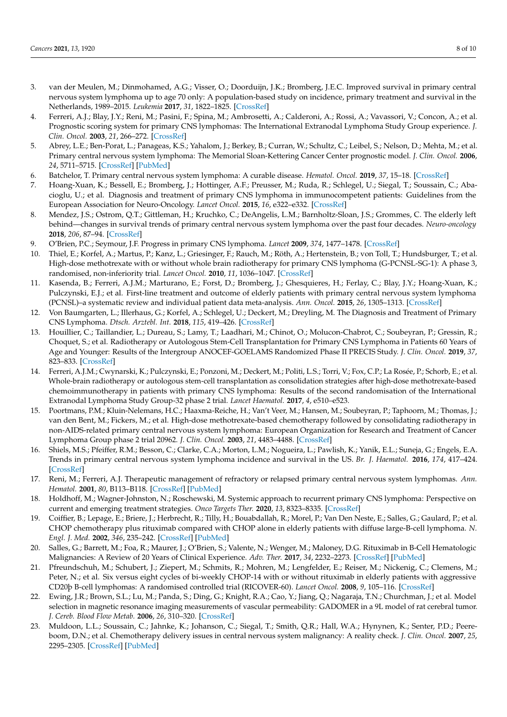- <span id="page-7-0"></span>3. van der Meulen, M.; Dinmohamed, A.G.; Visser, O.; Doorduijn, J.K.; Bromberg, J.E.C. Improved survival in primary central nervous system lymphoma up to age 70 only: A population-based study on incidence, primary treatment and survival in the Netherlands, 1989–2015. *Leukemia* **2017**, *31*, 1822–1825. [\[CrossRef\]](http://doi.org/10.1038/leu.2017.128)
- <span id="page-7-1"></span>4. Ferreri, A.J.; Blay, J.Y.; Reni, M.; Pasini, F.; Spina, M.; Ambrosetti, A.; Calderoni, A.; Rossi, A.; Vavassori, V.; Concon, A.; et al. Prognostic scoring system for primary CNS lymphomas: The International Extranodal Lymphoma Study Group experience. *J. Clin. Oncol.* **2003**, *21*, 266–272. [\[CrossRef\]](http://doi.org/10.1200/JCO.2003.09.139)
- <span id="page-7-2"></span>5. Abrey, L.E.; Ben-Porat, L.; Panageas, K.S.; Yahalom, J.; Berkey, B.; Curran, W.; Schultz, C.; Leibel, S.; Nelson, D.; Mehta, M.; et al. Primary central nervous system lymphoma: The Memorial Sloan-Kettering Cancer Center prognostic model. *J. Clin. Oncol.* **2006**, *24*, 5711–5715. [\[CrossRef\]](http://doi.org/10.1200/JCO.2006.08.2941) [\[PubMed\]](http://www.ncbi.nlm.nih.gov/pubmed/17116938)
- <span id="page-7-3"></span>6. Batchelor, T. Primary central nervous system lymphoma: A curable disease. *Hematol. Oncol.* **2019**, *37*, 15–18. [\[CrossRef\]](http://doi.org/10.1002/hon.2598)
- 7. Hoang-Xuan, K.; Bessell, E.; Bromberg, J.; Hottinger, A.F.; Preusser, M.; Ruda, R.; Schlegel, U.; Siegal, T.; Soussain, C.; Abacioglu, U.; et al. Diagnosis and treatment of primary CNS lymphoma in immunocompetent patients: Guidelines from the European Association for Neuro-Oncology. *Lancet Oncol.* **2015**, *16*, e322–e332. [\[CrossRef\]](http://doi.org/10.1016/S1470-2045(15)00076-5)
- <span id="page-7-4"></span>8. Mendez, J.S.; Ostrom, Q.T.; Gittleman, H.; Kruchko, C.; DeAngelis, L.M.; Barnholtz-Sloan, J.S.; Grommes, C. The elderly left behind—changes in survival trends of primary central nervous system lymphoma over the past four decades. *Neuro-oncology* **2018**, *206*, 87–94. [\[CrossRef\]](http://doi.org/10.1093/neuonc/nox187)
- <span id="page-7-5"></span>9. O'Brien, P.C.; Seymour, J.F. Progress in primary CNS lymphoma. *Lancet* **2009**, *374*, 1477–1478. [\[CrossRef\]](http://doi.org/10.1016/S0140-6736(09)61488-4)
- 10. Thiel, E.; Korfel, A.; Martus, P.; Kanz, L.; Griesinger, F.; Rauch, M.; Röth, A.; Hertenstein, B.; von Toll, T.; Hundsburger, T.; et al. High-dose methotrexate with or without whole brain radiotherapy for primary CNS lymphoma (G-PCNSL-SG-1): A phase 3, randomised, non-inferiority trial. *Lancet Oncol.* **2010**, *11*, 1036–1047. [\[CrossRef\]](http://doi.org/10.1016/S1470-2045(10)70229-1)
- 11. Kasenda, B.; Ferreri, A.J.M.; Marturano, E.; Forst, D.; Bromberg, J.; Ghesquieres, H.; Ferlay, C.; Blay, J.Y.; Hoang-Xuan, K.; Pulczynski, E.J.; et al. First-line treatment and outcome of elderly patients with primary central nervous system lymphoma (PCNSL)–a systematic review and individual patient data meta-analysis. *Ann. Oncol.* **2015**, *26*, 1305–1313. [\[CrossRef\]](http://doi.org/10.1093/annonc/mdv076)
- 12. Von Baumgarten, L.; Illerhaus, G.; Korfel, A.; Schlegel, U.; Deckert, M.; Dreyling, M. The Diagnosis and Treatment of Primary CNS Lymphoma. *Dtsch. Arztebl. Int.* **2018**, *115*, 419–426. [\[CrossRef\]](http://doi.org/10.3238/arztebl.2018.0419)
- 13. Houillier, C.; Taillandier, L.; Dureau, S.; Lamy, T.; Laadhari, M.; Chinot, O.; Molucon-Chabrot, C.; Soubeyran, P.; Gressin, R.; Choquet, S.; et al. Radiotherapy or Autologous Stem-Cell Transplantation for Primary CNS Lymphoma in Patients 60 Years of Age and Younger: Results of the Intergroup ANOCEF-GOELAMS Randomized Phase II PRECIS Study. *J. Clin. Oncol.* **2019**, *37*, 823–833. [\[CrossRef\]](http://doi.org/10.1200/JCO.18.00306)
- <span id="page-7-6"></span>14. Ferreri, A.J.M.; Cwynarski, K.; Pulczynski, E.; Ponzoni, M.; Deckert, M.; Politi, L.S.; Torri, V.; Fox, C.P.; La Rosée, P.; Schorb, E.; et al. Whole-brain radiotherapy or autologous stem-cell transplantation as consolidation strategies after high-dose methotrexate-based chemoimmunotherapy in patients with primary CNS lymphoma: Results of the second randomisation of the International Extranodal Lymphoma Study Group-32 phase 2 trial. *Lancet Haematol.* **2017**, *4*, e510–e523.
- <span id="page-7-7"></span>15. Poortmans, P.M.; Kluin-Nelemans, H.C.; Haaxma-Reiche, H.; Van't Veer, M.; Hansen, M.; Soubeyran, P.; Taphoorn, M.; Thomas, J.; van den Bent, M.; Fickers, M.; et al. High-dose methotrexate-based chemotherapy followed by consolidating radiotherapy in non-AIDS-related primary central nervous system lymphoma: European Organization for Research and Treatment of Cancer Lymphoma Group phase 2 trial 20962. *J. Clin. Oncol.* **2003**, *21*, 4483–4488. [\[CrossRef\]](http://doi.org/10.1200/JCO.2003.03.108)
- <span id="page-7-8"></span>16. Shiels, M.S.; Pfeiffer, R.M.; Besson, C.; Clarke, C.A.; Morton, L.M.; Nogueira, L.; Pawlish, K.; Yanik, E.L.; Suneja, G.; Engels, E.A. Trends in primary central nervous system lymphoma incidence and survival in the US. *Br. J. Haematol.* **2016**, *174*, 417–424. [\[CrossRef\]](http://doi.org/10.1111/bjh.14073)
- <span id="page-7-9"></span>17. Reni, M.; Ferreri, A.J. Therapeutic management of refractory or relapsed primary central nervous system lymphomas. *Ann. Hematol.* **2001**, *80*, B113–B118. [\[CrossRef\]](http://doi.org/10.1007/pl00022772) [\[PubMed\]](http://www.ncbi.nlm.nih.gov/pubmed/11757691)
- <span id="page-7-10"></span>18. Holdhoff, M.; Wagner-Johnston, N.; Roschewski, M. Systemic approach to recurrent primary CNS lymphoma: Perspective on current and emerging treatment strategies. *Onco Targets Ther.* **2020**, *13*, 8323–8335. [\[CrossRef\]](http://doi.org/10.2147/OTT.S192379)
- <span id="page-7-11"></span>19. Coiffier, B.; Lepage, E.; Briere, J.; Herbrecht, R.; Tilly, H.; Bouabdallah, R.; Morel, P.; Van Den Neste, E.; Salles, G.; Gaulard, P.; et al. CHOP chemotherapy plus rituximab compared with CHOP alone in elderly patients with diffuse large-B-cell lymphoma. *N. Engl. J. Med.* **2002**, *346*, 235–242. [\[CrossRef\]](http://doi.org/10.1056/NEJMoa011795) [\[PubMed\]](http://www.ncbi.nlm.nih.gov/pubmed/11807147)
- 20. Salles, G.; Barrett, M.; Foa, R.; Maurer, J.; O'Brien, S.; Valente, N.; Wenger, M.; Maloney, D.G. Rituximab in B-Cell Hematologic Malignancies: A Review of 20 Years of Clinical Experience. *Adv. Ther.* **2017**, *34*, 2232–2273. [\[CrossRef\]](http://doi.org/10.1007/s12325-017-0612-x) [\[PubMed\]](http://www.ncbi.nlm.nih.gov/pubmed/28983798)
- <span id="page-7-12"></span>21. Pfreundschuh, M.; Schubert, J.; Ziepert, M.; Schmits, R.; Mohren, M.; Lengfelder, E.; Reiser, M.; Nickenig, C.; Clemens, M.; Peter, N.; et al. Six versus eight cycles of bi-weekly CHOP-14 with or without rituximab in elderly patients with aggressive CD20þ B-cell lymphomas: A randomised controlled trial (RICOVER-60). *Lancet Oncol.* **2008**, *9*, 105–116. [\[CrossRef\]](http://doi.org/10.1016/S1470-2045(08)70002-0)
- <span id="page-7-13"></span>22. Ewing, J.R.; Brown, S.L.; Lu, M.; Panda, S.; Ding, G.; Knight, R.A.; Cao, Y.; Jiang, Q.; Nagaraja, T.N.; Churchman, J.; et al. Model selection in magnetic resonance imaging measurements of vascular permeability: GADOMER in a 9L model of rat cerebral tumor. *J. Cereb. Blood Flow Metab.* **2006**, *26*, 310–320. [\[CrossRef\]](http://doi.org/10.1038/sj.jcbfm.9600189)
- <span id="page-7-14"></span>23. Muldoon, L.L.; Soussain, C.; Jahnke, K.; Johanson, C.; Siegal, T.; Smith, Q.R.; Hall, W.A.; Hynynen, K.; Senter, P.D.; Peereboom, D.N.; et al. Chemotherapy delivery issues in central nervous system malignancy: A reality check. *J. Clin. Oncol.* **2007**, *25*, 2295–2305. [\[CrossRef\]](http://doi.org/10.1200/JCO.2006.09.9861) [\[PubMed\]](http://www.ncbi.nlm.nih.gov/pubmed/17538176)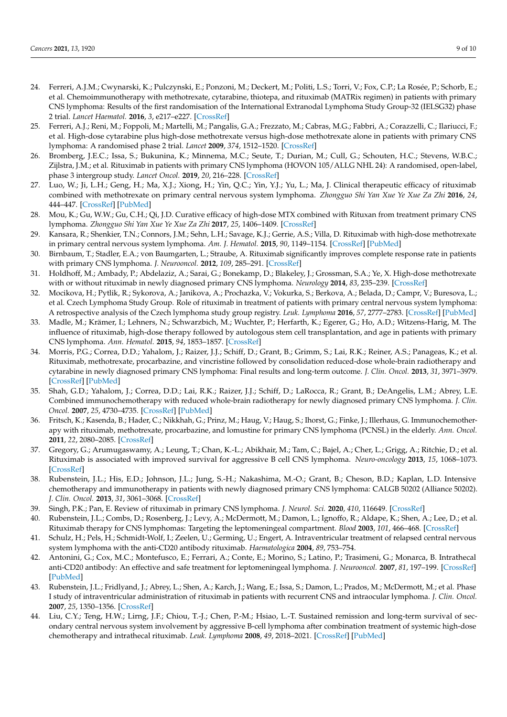- <span id="page-8-0"></span>24. Ferreri, A.J.M.; Cwynarski, K.; Pulczynski, E.; Ponzoni, M.; Deckert, M.; Politi, L.S.; Torri, V.; Fox, C.P.; La Rosée, P.; Schorb, E.; et al. Chemoimmunotherapy with methotrexate, cytarabine, thiotepa, and rituximab (MATRix regimen) in patients with primary CNS lymphoma: Results of the first randomisation of the International Extranodal Lymphoma Study Group-32 (IELSG32) phase 2 trial. *Lancet Haematol.* **2016**, *3*, e217–e227. [\[CrossRef\]](http://doi.org/10.1016/S2352-3026(16)00036-3)
- <span id="page-8-1"></span>25. Ferreri, A.J.; Reni, M.; Foppoli, M.; Martelli, M.; Pangalis, G.A.; Frezzato, M.; Cabras, M.G.; Fabbri, A.; Corazzelli, C.; Ilariucci, F.; et al. High-dose cytarabine plus high-dose methotrexate versus high-dose methotrexate alone in patients with primary CNS lymphoma: A randomised phase 2 trial. *Lancet* **2009**, *374*, 1512–1520. [\[CrossRef\]](http://doi.org/10.1016/S0140-6736(09)61416-1)
- <span id="page-8-2"></span>26. Bromberg, J.E.C.; Issa, S.; Bukunina, K.; Minnema, M.C.; Seute, T.; Durian, M.; Cull, G.; Schouten, H.C.; Stevens, W.B.C.; Zijlstra, J.M.; et al. Rituximab in patients with primary CNS lymphoma (HOVON 105/ALLG NHL 24): A randomised, open-label, phase 3 intergroup study. *Lancet Oncol.* **2019**, *20*, 216–228. [\[CrossRef\]](http://doi.org/10.1016/S1470-2045(18)30747-2)
- <span id="page-8-3"></span>27. Luo, W.; Ji, L.H.; Geng, H.; Ma, X.J.; Xiong, H.; Yin, Q.C.; Yin, Y.J.; Yu, L.; Ma, J. Clinical therapeutic efficacy of rituximab combined with methotrexate on primary central nervous system lymphoma. *Zhongguo Shi Yan Xue Ye Xue Za Zhi* **2016**, *24*, 444–447. [\[CrossRef\]](http://doi.org/10.7534/j.issn.1009-2137.2016.02.025) [\[PubMed\]](http://www.ncbi.nlm.nih.gov/pubmed/27151007)
- <span id="page-8-4"></span>28. Mou, K.; Gu, W.W.; Gu, C.H.; Qi, J.D. Curative efficacy of high-dose MTX combined with Rituxan from treatment primary CNS lymphoma. *Zhongguo Shi Yan Xue Ye Xue Za Zhi* **2017**, *25*, 1406–1409. [\[CrossRef\]](http://doi.org/10.7534/j.issn.1009-2137.2017.05.021)
- <span id="page-8-5"></span>29. Kansara, R.; Shenkier, T.N.; Connors, J.M.; Sehn, L.H.; Savage, K.J.; Gerrie, A.S.; Villa, D. Rituximab with high-dose methotrexate in primary central nervous system lymphoma. *Am. J. Hematol.* **2015**, *90*, 1149–1154. [\[CrossRef\]](http://doi.org/10.1002/ajh.24204) [\[PubMed\]](http://www.ncbi.nlm.nih.gov/pubmed/26414492)
- <span id="page-8-10"></span>30. Birnbaum, T.; Stadler, E.A.; von Baumgarten, L.; Straube, A. Rituximab significantly improves complete response rate in patients with primary CNS lymphoma. *J. Neurooncol.* **2012**, *109*, 285–291. [\[CrossRef\]](http://doi.org/10.1007/s11060-012-0891-7)
- <span id="page-8-11"></span>31. Holdhoff, M.; Ambady, P.; Abdelaziz, A.; Sarai, G.; Bonekamp, D.; Blakeley, J.; Grossman, S.A.; Ye, X. High-dose methotrexate with or without rituximab in newly diagnosed primary CNS lymphoma. *Neurology* **2014**, *83*, 235–239. [\[CrossRef\]](http://doi.org/10.1212/WNL.0000000000000593)
- <span id="page-8-12"></span>32. Mocikova, H.; Pytlik, R.; Sykorova, A.; Janikova, A.; Prochazka, V.; Vokurka, S.; Berkova, A.; Belada, D.; Campr, V.; Buresova, L.; et al. Czech Lymphoma Study Group. Role of rituximab in treatment of patients with primary central nervous system lymphoma: A retrospective analysis of the Czech lymphoma study group registry. *Leuk. Lymphoma* **2016**, *57*, 2777–2783. [\[CrossRef\]](http://doi.org/10.3109/10428194.2016.1167203) [\[PubMed\]](http://www.ncbi.nlm.nih.gov/pubmed/27087066)
- <span id="page-8-8"></span>33. Madle, M.; Krämer, I.; Lehners, N.; Schwarzbich, M.; Wuchter, P.; Herfarth, K.; Egerer, G.; Ho, A.D.; Witzens-Harig, M. The influence of rituximab, high-dose therapy followed by autologous stem cell transplantation, and age in patients with primary CNS lymphoma. *Ann. Hematol.* **2015**, *94*, 1853–1857. [\[CrossRef\]](http://doi.org/10.1007/s00277-015-2470-4)
- <span id="page-8-9"></span>34. Morris, P.G.; Correa, D.D.; Yahalom, J.; Raizer, J.J.; Schiff, D.; Grant, B.; Grimm, S.; Lai, R.K.; Reiner, A.S.; Panageas, K.; et al. Rituximab, methotrexate, procarbazine, and vincristine followed by consolidation reduced-dose whole-brain radiotherapy and cytarabine in newly diagnosed primary CNS lymphoma: Final results and long-term outcome. *J. Clin. Oncol.* **2013**, *31*, 3971–3979. [\[CrossRef\]](http://doi.org/10.1200/JCO.2013.50.4910) [\[PubMed\]](http://www.ncbi.nlm.nih.gov/pubmed/24101038)
- <span id="page-8-13"></span>35. Shah, G.D.; Yahalom, J.; Correa, D.D.; Lai, R.K.; Raizer, J.J.; Schiff, D.; LaRocca, R.; Grant, B.; DeAngelis, L.M.; Abrey, L.E. Combined immunochemotherapy with reduced whole-brain radiotherapy for newly diagnosed primary CNS lymphoma. *J. Clin. Oncol.* **2007**, *25*, 4730–4735. [\[CrossRef\]](http://doi.org/10.1200/JCO.2007.12.5062) [\[PubMed\]](http://www.ncbi.nlm.nih.gov/pubmed/17947720)
- <span id="page-8-6"></span>36. Fritsch, K.; Kasenda, B.; Hader, C.; Nikkhah, G.; Prinz, M.; Haug, V.; Haug, S.; Ihorst, G.; Finke, J.; Illerhaus, G. Immunochemotherapy with rituximab, methotrexate, procarbazine, and lomustine for primary CNS lymphoma (PCNSL) in the elderly. *Ann. Oncol.* **2011**, *22*, 2080–2085. [\[CrossRef\]](http://doi.org/10.1093/annonc/mdq712)
- 37. Gregory, G.; Arumugaswamy, A.; Leung, T.; Chan, K.-L.; Abikhair, M.; Tam, C.; Bajel, A.; Cher, L.; Grigg, A.; Ritchie, D.; et al. Rituximab is associated with improved survival for aggressive B cell CNS lymphoma. *Neuro-oncology* **2013**, *15*, 1068–1073. [\[CrossRef\]](http://doi.org/10.1093/neuonc/not032)
- <span id="page-8-7"></span>38. Rubenstein, J.L.; His, E.D.; Johnson, J.L.; Jung, S.-H.; Nakashima, M.-O.; Grant, B.; Cheson, B.D.; Kaplan, L.D. Intensive chemotherapy and immunotherapy in patients with newly diagnosed primary CNS lymphoma: CALGB 50202 (Alliance 50202). *J. Clin. Oncol.* **2013**, *31*, 3061–3068. [\[CrossRef\]](http://doi.org/10.1200/JCO.2012.46.9957)
- <span id="page-8-14"></span>39. Singh, P.K.; Pan, E. Review of rituximab in primary CNS lymphoma. *J. Neurol. Sci.* **2020**, *410*, 116649. [\[CrossRef\]](http://doi.org/10.1016/j.jns.2019.116649)
- <span id="page-8-15"></span>40. Rubenstein, J.L.; Combs, D.; Rosenberg, J.; Levy, A.; McDermott, M.; Damon, L.; Ignoffo, R.; Aldape, K.; Shen, A.; Lee, D.; et al. Rituximab therapy for CNS lymphomas: Targeting the leptomeningeal compartment. *Blood* **2003**, *101*, 466–468. [\[CrossRef\]](http://doi.org/10.1182/blood-2002-06-1636)
- <span id="page-8-16"></span>41. Schulz, H.; Pels, H.; Schmidt-Wolf, I.; Zeelen, U.; Germing, U.; Engert, A. Intraventricular treatment of relapsed central nervous system lymphoma with the anti-CD20 antibody rituximab. *Haematologica* **2004**, *89*, 753–754.
- 42. Antonini, G.; Cox, M.C.; Montefusco, E.; Ferrari, A.; Conte, E.; Morino, S.; Latino, P.; Trasimeni, G.; Monarca, B. Intrathecal anti-CD20 antibody: An effective and safe treatment for leptomeningeal lymphoma. *J. Neurooncol.* **2007**, *81*, 197–199. [\[CrossRef\]](http://doi.org/10.1007/s11060-006-9217-y) [\[PubMed\]](http://www.ncbi.nlm.nih.gov/pubmed/16937012)
- 43. Rubenstein, J.L.; Fridlyand, J.; Abrey, L.; Shen, A.; Karch, J.; Wang, E.; Issa, S.; Damon, L.; Prados, M.; McDermott, M.; et al. Phase I study of intraventricular administration of rituximab in patients with recurrent CNS and intraocular lymphoma. *J. Clin. Oncol.* **2007**, *25*, 1350–1356. [\[CrossRef\]](http://doi.org/10.1200/JCO.2006.09.7311)
- <span id="page-8-17"></span>44. Liu, C.Y.; Teng, H.W.; Lirng, J.F.; Chiou, T.-J.; Chen, P.-M.; Hsiao, L.-T. Sustained remission and long-term survival of secondary central nervous system involvement by aggressive B-cell lymphoma after combination treatment of systemic high-dose chemotherapy and intrathecal rituximab. *Leuk. Lymphoma* **2008**, *49*, 2018–2021. [\[CrossRef\]](http://doi.org/10.1080/10428190802311375) [\[PubMed\]](http://www.ncbi.nlm.nih.gov/pubmed/18728965)